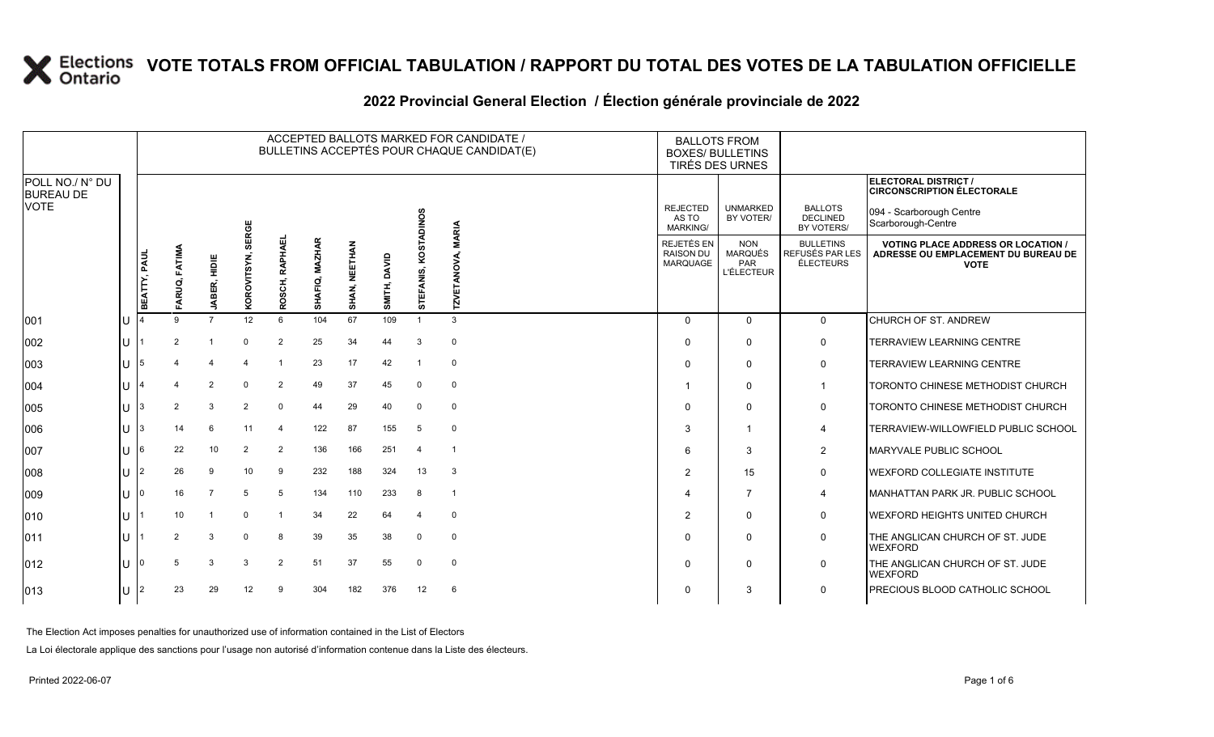|                                                    |  | ACCEPTED BALLOTS MARKED FOR CANDIDATE /<br>BULLETINS ACCEPTÉS POUR CHAQUE CANDIDAT(E) |                    |                |                 |                           |                |               |                 |                |                    | <b>BALLOTS FROM</b><br><b>BOXES/ BULLETINS</b>           | TIRÉS DES URNES                                          |                                                  |                                                                                                             |
|----------------------------------------------------|--|---------------------------------------------------------------------------------------|--------------------|----------------|-----------------|---------------------------|----------------|---------------|-----------------|----------------|--------------------|----------------------------------------------------------|----------------------------------------------------------|--------------------------------------------------|-------------------------------------------------------------------------------------------------------------|
| POLL NO./ N° DU<br><b>BUREAU DE</b><br><b>VOTE</b> |  |                                                                                       |                    |                | SERGE           |                           |                |               |                 | <b>ADINOS</b>  | <b>MARIA</b>       | <b>REJECTED</b><br>AS TO<br><b>MARKING/</b>              | <b>UNMARKED</b><br>BY VOTER/                             | <b>BALLOTS</b><br><b>DECLINED</b><br>BY VOTERS/  | ELECTORAL DISTRICT /<br><b>CIRCONSCRIPTION ÉLECTORALE</b><br>094 - Scarborough Centre<br>Scarborough-Centre |
|                                                    |  | BEATTY, PAUL                                                                          | ARUQ, FATIMA<br>ш. | ₩<br>JABER,    | KOROVITSYN,     | <b>OSCH, RAPHAE</b><br>ĕ. | SHAFIQ, MAZHAR | SHAN, NEETHAN | DAVID<br>SMITH, | STEFANIS, KOST | <b>TZVETANOVA,</b> | <b>REJETÉS EN</b><br><b>RAISON DU</b><br><b>MARQUAGE</b> | <b>NON</b><br><b>MARQUÉS</b><br>PAR<br><b>L'ÉLECTEUR</b> | <b>BULLETINS</b><br>REFUSÉS PAR LES<br>ÉLECTEURS | <b>VOTING PLACE ADDRESS OR LOCATION /</b><br>ADRESSE OU EMPLACEMENT DU BUREAU DE<br><b>VOTE</b>             |
| 001                                                |  |                                                                                       | 9                  | $\overline{7}$ | 12 <sup>°</sup> | 6                         | 104            | 67            | 109             | $\mathbf{1}$   | 3                  | $\mathbf 0$                                              | $\mathbf 0$                                              | $\mathbf 0$                                      | CHURCH OF ST. ANDREW                                                                                        |
| 002                                                |  |                                                                                       |                    |                | $\Omega$        | $\overline{2}$            | 25             | 34            | 44              | 3              | $\mathbf 0$        | $\Omega$                                                 | $\Omega$                                                 | $\mathbf 0$                                      | TERRAVIEW LEARNING CENTRE                                                                                   |
| 003                                                |  |                                                                                       |                    | 4              | $\Delta$        | $\overline{\mathbf{1}}$   | 23             | 17            | 42              | -1             | $\mathbf 0$        | $\Omega$                                                 | $\mathbf 0$                                              | $\mathbf 0$                                      | TERRAVIEW LEARNING CENTRE                                                                                   |
| 004                                                |  |                                                                                       |                    | $\overline{2}$ | $\Omega$        | $\overline{2}$            | 49             | 37            | 45              | 0              | $\mathbf 0$        | -1                                                       | $\Omega$                                                 | -1                                               | TORONTO CHINESE METHODIST CHURCH                                                                            |
| 005                                                |  |                                                                                       | 2                  | 3              | $\overline{2}$  | $\mathbf 0$               | 44             | 29            | 40              | $\mathbf 0$    | $\mathbf 0$        | $\Omega$                                                 | $\mathbf 0$                                              | $\mathbf 0$                                      | TORONTO CHINESE METHODIST CHURCH                                                                            |
| 006                                                |  |                                                                                       | 14                 | 6              | 11              | $\overline{4}$            | 122            | 87            | 155             | 5              | $\mathbf 0$        | 3                                                        | $\overline{\mathbf{1}}$                                  | $\overline{4}$                                   | TERRAVIEW-WILLOWFIELD PUBLIC SCHOOL                                                                         |
| 007                                                |  | 6                                                                                     | 22                 | 10             | 2               | $\overline{2}$            | 136            | 166           | 251             | $\overline{4}$ | -1                 | 6                                                        | 3                                                        | $\overline{2}$                                   | <b>MARYVALE PUBLIC SCHOOL</b>                                                                               |
| 008                                                |  | $\overline{2}$                                                                        | 26                 | 9              | 10              | 9                         | 232            | 188           | 324             | 13             | 3                  | $\overline{2}$                                           | 15                                                       | $\mathbf 0$                                      | <b>WEXFORD COLLEGIATE INSTITUTE</b>                                                                         |
| 009                                                |  |                                                                                       | 16                 | $\overline{7}$ | 5               | 5                         | 134            | 110           | 233             | 8              | $\mathbf{1}$       | Δ                                                        | 7                                                        | $\overline{\mathbf{4}}$                          | MANHATTAN PARK JR. PUBLIC SCHOOL                                                                            |
| 010                                                |  |                                                                                       | 10                 | $\overline{1}$ | $\Omega$        | $\mathbf{\overline{1}}$   | 34             | 22            | 64              | 4              | $\mathbf 0$        | 2                                                        | $\Omega$                                                 | $\mathbf 0$                                      | <b>WEXFORD HEIGHTS UNITED CHURCH</b>                                                                        |
| 011                                                |  |                                                                                       | 2                  | 3              | $\Omega$        | 8                         | 39             | 35            | 38              | 0              | $\mathbf 0$        | $\Omega$                                                 | $\mathbf 0$                                              | $\mathbf 0$                                      | THE ANGLICAN CHURCH OF ST. JUDE<br><b>WEXFORD</b>                                                           |
| 012                                                |  |                                                                                       | 5                  | 3              | 3               | $\overline{2}$            | 51             | 37            | 55              | $\mathbf 0$    | $\mathbf 0$        | $\Omega$                                                 | $\Omega$                                                 | $\mathbf 0$                                      | THE ANGLICAN CHURCH OF ST. JUDE<br><b>WEXFORD</b>                                                           |
| 013                                                |  | 2                                                                                     | 23                 | 29             | 12              | 9                         | 304            | 182           | 376             | 12             | 6                  | $\Omega$                                                 | 3                                                        | $\Omega$                                         | PRECIOUS BLOOD CATHOLIC SCHOOL                                                                              |

### **2022 Provincial General Election / Élection générale provinciale de 2022**

The Election Act imposes penalties for unauthorized use of information contained in the List of Electors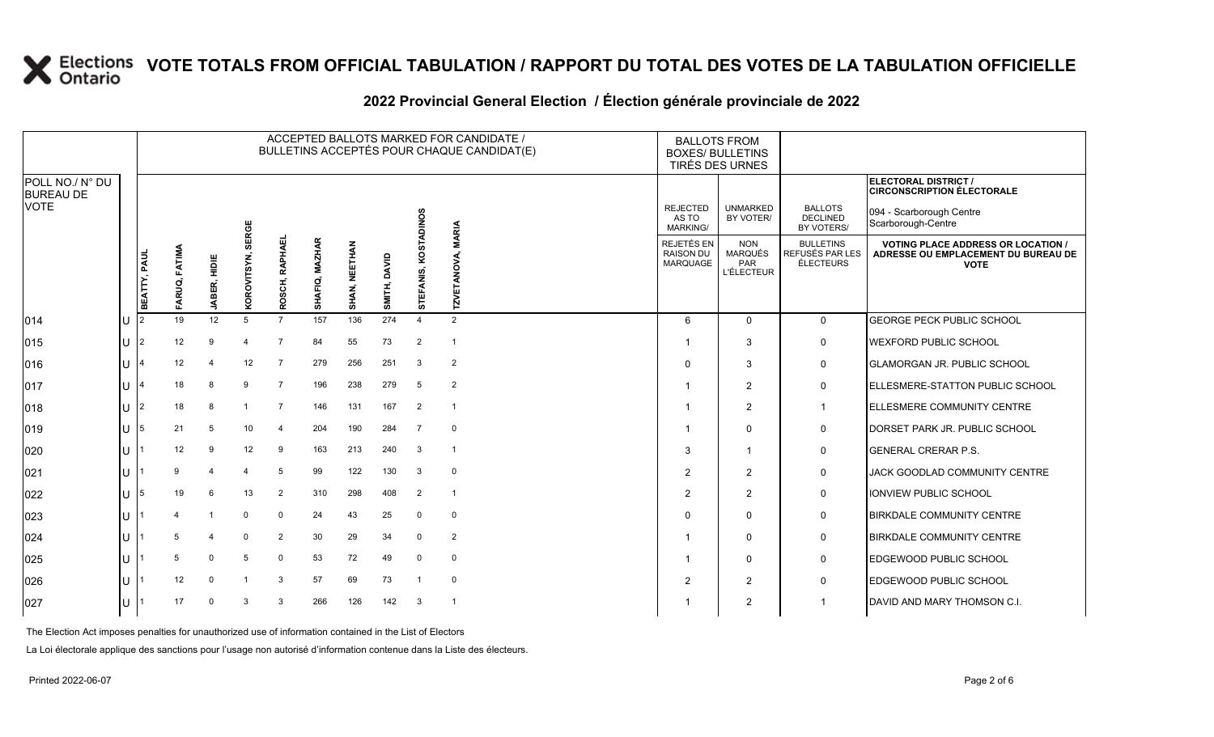### **2022 Provincial General Election / Élection générale provinciale de 2022**

|                                     |              |              |               |              |                   |                |                |                      |                 |                | ACCEPTED BALLOTS MARKED FOR CANDIDATE /<br>BULLETINS ACCEPTÉS POUR CHAQUE CANDIDAT(E) |                                             | <b>BALLOTS FROM</b><br><b>BOXES/ BULLETINS</b><br>TIRÉS DES URNES |                                                         |                                                                                                 |
|-------------------------------------|--------------|--------------|---------------|--------------|-------------------|----------------|----------------|----------------------|-----------------|----------------|---------------------------------------------------------------------------------------|---------------------------------------------|-------------------------------------------------------------------|---------------------------------------------------------|-------------------------------------------------------------------------------------------------|
| POLL NO./ N° DU<br><b>BUREAU DE</b> |              |              |               |              |                   |                |                |                      |                 |                |                                                                                       |                                             |                                                                   |                                                         | ELECTORAL DISTRICT /<br><b>CIRCONSCRIPTION ÉLECTORALE</b>                                       |
| <b>VOTE</b>                         |              |              |               |              |                   |                |                |                      |                 | <b>DINOS</b>   | <b>MARIA</b>                                                                          | <b>REJECTED</b><br>AS TO<br><b>MARKING/</b> | <b>UNMARKED</b><br>BY VOTER/                                      | <b>BALLOTS</b><br><b>DECLINED</b><br>BY VOTERS/         | 094 - Scarborough Centre<br>Scarborough-Centre                                                  |
|                                     |              | BEATTY, PAUL | FARUQ, FATIMA | JABER, HIDIE | KOROVITSYN, SERGE | ROSCH, RAPHAEL | SHAFIQ, MAZHAR | <b>SHAN, NEETHAN</b> | DAVID<br>SMITH, | STEFANIS, KOST | <b>TZVETANOVA,</b>                                                                    | REJETÉS EN<br><b>RAISON DU</b><br>MARQUAGE  | <b>NON</b><br><b>MARQUÉS</b><br>PAR<br><b>L'ÉLECTEUR</b>          | <b>BULLETINS</b><br><b>REFUSÉS PAR LES</b><br>ÉLECTEURS | <b>VOTING PLACE ADDRESS OR LOCATION /</b><br>ADRESSE OU EMPLACEMENT DU BUREAU DE<br><b>VOTE</b> |
| 014                                 | U            |              | 19            | 12           | 5                 | $\overline{7}$ | 157            | 136                  | 274             | $\Delta$       | $\overline{2}$                                                                        | 6                                           | $\Omega$                                                          | $\mathbf 0$                                             | GEORGE PECK PUBLIC SCHOOL                                                                       |
| 015                                 | $\cup$       |              | 12            | 9            |                   | $\overline{7}$ | 84             | 55                   | 73              | $\overline{2}$ | $\mathbf{1}$                                                                          |                                             | 3                                                                 | $\mathbf 0$                                             | WEXFORD PUBLIC SCHOOL                                                                           |
| 016                                 | ΠT           |              | 12            |              | 12                | $\overline{7}$ | 279            | 256                  | 251             | 3              | $\overline{2}$                                                                        | $\Omega$                                    | 3                                                                 | $\mathbf 0$                                             | <b>I</b> GLAMORGAN JR. PUBLIC SCHOOL                                                            |
| 017                                 | $\mathbf{U}$ |              | 18            | 8            | 9                 | $\overline{7}$ | 196            | 238                  | 279             | 5              | $\overline{2}$                                                                        |                                             | 2                                                                 | $\mathbf 0$                                             | ELLESMERE-STATTON PUBLIC SCHOOL                                                                 |
| 018                                 | $\cup$       |              | 18            | 8            |                   | $\overline{7}$ | 146            | 131                  | 167             | 2              | $\mathbf{1}$                                                                          |                                             | $\overline{2}$                                                    | $\mathbf{1}$                                            | ELLESMERE COMMUNITY CENTRE                                                                      |
| 019                                 | U            | 5            | 21            | 5            | 10                | 4              | 204            | 190                  | 284             | 7              | $\Omega$                                                                              |                                             | $\mathbf 0$                                                       | 0                                                       | DORSET PARK JR. PUBLIC SCHOOL                                                                   |
| 020                                 | $\mathbf{U}$ |              | 12            | 9            | 12                | 9              | 163            | 213                  | 240             | 3              | $\overline{1}$                                                                        | 3                                           | $\mathbf 1$                                                       | 0                                                       | <b>GENERAL CRERAR P.S.</b>                                                                      |
| 021                                 | U            |              | 9             |              |                   | 5              | 99             | 122                  | 130             | 3              | $\Omega$                                                                              | $\overline{2}$                              | $\overline{2}$                                                    | 0                                                       | JACK GOODLAD COMMUNITY CENTRE                                                                   |
| 022                                 | lU.          | 5            | 19            | 6            | 13                | $\overline{2}$ | 310            | 298                  | 408             | $\overline{2}$ | $\mathbf{1}$                                                                          | 2                                           | 2                                                                 | $\mathsf{O}$                                            | IONVIEW PUBLIC SCHOOL                                                                           |
| 023                                 | U            |              |               |              | $\Omega$          | $\mathbf 0$    | 24             | 43                   | 25              | $\mathbf 0$    | $\mathbf 0$                                                                           | O                                           | 0                                                                 | $\mathbf 0$                                             | <b>BIRKDALE COMMUNITY CENTRE</b>                                                                |
| $ 024\rangle$                       | U            |              | 5             |              | $\Omega$          | $\overline{2}$ | 30             | 29                   | 34              | $\Omega$       | $\overline{2}$                                                                        |                                             | $\mathbf 0$                                                       | $\mathsf{O}$                                            | <b>BIRKDALE COMMUNITY CENTRE</b>                                                                |
| 025                                 | U            |              | 5             | $\Omega$     | 5                 | $\Omega$       | 53             | 72                   | 49              | $\mathbf 0$    | 0                                                                                     |                                             | $\mathbf 0$                                                       | $\mathsf{O}$                                            | EDGEWOOD PUBLIC SCHOOL                                                                          |
| 026                                 | U            |              | 12            | $\Omega$     |                   | 3              | 57             | 69                   | 73              |                | $\mathbf 0$                                                                           | $\overline{2}$                              | $\overline{2}$                                                    | $\mathbf 0$                                             | EDGEWOOD PUBLIC SCHOOL                                                                          |
| 027                                 | U            |              | 17            | $\Omega$     | 3                 | 3              | 266            | 126                  | 142             | 3              | $\overline{1}$                                                                        |                                             | $\overline{2}$                                                    | $\mathbf{1}$                                            | DAVID AND MARY THOMSON C.I.                                                                     |

The Election Act imposes penalties for unauthorized use of information contained in the List of Electors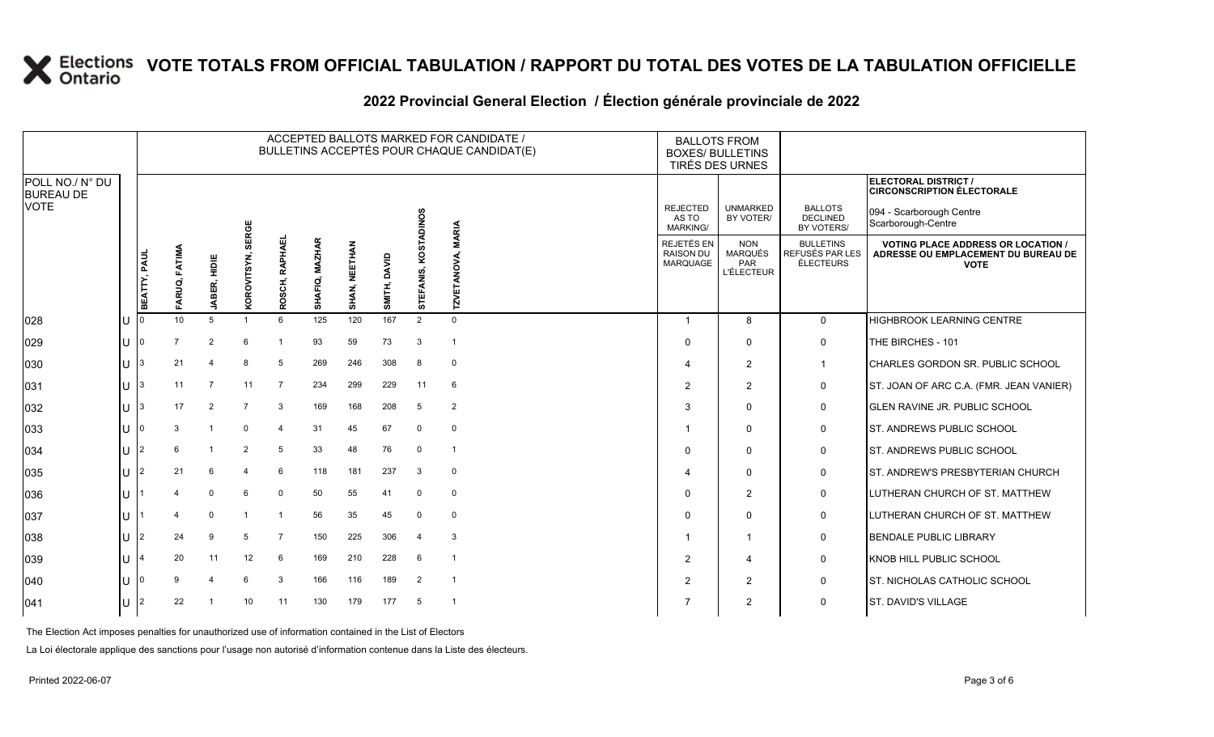## **2022 Provincial General Election / Élection générale provinciale de 2022**

|                                     |                     |                 |                         |                |                         |                |               |                 |                | ACCEPTED BALLOTS MARKED FOR CANDIDATE /<br>BULLETINS ACCEPTÉS POUR CHAQUE CANDIDAT(E) |                                             | <b>BALLOTS FROM</b><br><b>BOXES/ BULLETINS</b>    | TIRÉS DES URNES                                          |                                                  |                                                                                                 |
|-------------------------------------|---------------------|-----------------|-------------------------|----------------|-------------------------|----------------|---------------|-----------------|----------------|---------------------------------------------------------------------------------------|---------------------------------------------|---------------------------------------------------|----------------------------------------------------------|--------------------------------------------------|-------------------------------------------------------------------------------------------------|
| POLL NO./ N° DU<br><b>BUREAU DE</b> |                     |                 |                         |                |                         |                |               |                 |                |                                                                                       |                                             |                                                   |                                                          |                                                  | ELECTORAL DISTRICT /<br><b>CIRCONSCRIPTION ÉLECTORALE</b>                                       |
| <b>VOTE</b>                         |                     |                 |                         | SERGE          |                         |                |               |                 | NOS            | <b>MARIA</b>                                                                          | <b>REJECTED</b><br>AS TO<br><b>MARKING/</b> | <b>UNMARKED</b><br>BY VOTER/                      | <b>BALLOTS</b><br><b>DECLINED</b><br>BY VOTERS/          | 094 - Scarborough Centre<br>Scarborough-Centre   |                                                                                                 |
|                                     | <b>BEATTY, PAUL</b> | FARUQ, FATIMA   | 빌<br>문<br><b>JABER,</b> | KOROVITSYN,    | ROSCH, RAPHAEL          | SHAFIQ, MAZHAR | SHAN, NEETHAN | DAVID<br>SMITH, | STEFANIS, KOS  | ETANOVA,<br><b>NZL</b>                                                                |                                             | <b>REJETÉS EN</b><br><b>RAISON DU</b><br>MARQUAGE | <b>NON</b><br><b>MARQUÉS</b><br>PAR<br><b>L'ÉLECTEUR</b> | <b>BULLETINS</b><br>REFUSÉS PAR LES<br>ÉLECTEURS | <b>VOTING PLACE ADDRESS OR LOCATION /</b><br>ADRESSE OU EMPLACEMENT DU BUREAU DE<br><b>VOTE</b> |
| 028                                 |                     | 10 <sup>1</sup> | 5                       |                | 6                       | 125            | 120           | 167             | $\overline{2}$ | $\Omega$                                                                              |                                             |                                                   | 8                                                        | $\mathbf 0$                                      | HIGHBROOK LEARNING CENTRE                                                                       |
| 029                                 |                     | $\overline{7}$  | $\overline{2}$          | 6              | $\overline{\mathbf{1}}$ | 93             | 59            | 73              | 3              |                                                                                       |                                             |                                                   | $\mathbf 0$                                              | 0                                                | THE BIRCHES - 101                                                                               |
| 030                                 |                     | 21              |                         |                | 5                       | 269            | 246           | 308             | 8              | $\mathbf 0$                                                                           |                                             |                                                   | 2                                                        | $\mathbf{1}$                                     | CHARLES GORDON SR. PUBLIC SCHOOL                                                                |
| 031                                 |                     | 11              | $\overline{7}$          | 11             | $\overline{7}$          | 234            | 299           | 229             | 11             | 6                                                                                     |                                             | $\mathcal{P}$                                     | 2                                                        | 0                                                | ST. JOAN OF ARC C.A. (FMR. JEAN VANIER)                                                         |
| 032                                 |                     | 17              | $\overline{2}$          |                | 3                       | 169            | 168           | 208             | 5              | $\overline{2}$                                                                        |                                             | 3                                                 | $\mathbf 0$                                              | 0                                                | <b>GLEN RAVINE JR. PUBLIC SCHOOL</b>                                                            |
| 033                                 |                     | 3               |                         |                | 4                       | 31             | 45            | 67              | $\Omega$       | $\mathbf 0$                                                                           |                                             |                                                   | $\mathbf 0$                                              | 0                                                | ST. ANDREWS PUBLIC SCHOOL                                                                       |
| 034                                 |                     | 6               |                         | $\overline{2}$ | 5                       | 33             | 48            | 76              | $\mathbf 0$    | $\overline{1}$                                                                        |                                             |                                                   | 0                                                        | 0                                                | ST. ANDREWS PUBLIC SCHOOL                                                                       |
| 035                                 | $\overline{2}$      | 21              | 6                       |                | 6                       | 118            | 181           | 237             | 3              | $\mathbf 0$                                                                           |                                             |                                                   | $\mathbf 0$                                              | $\mathbf 0$                                      | ST. ANDREW'S PRESBYTERIAN CHURCH                                                                |
| 036                                 |                     |                 | $\Omega$                |                | $\mathbf 0$             | 50             | 55            | 41              | 0              | $\mathbf 0$                                                                           |                                             | $\Omega$                                          | 2                                                        | $\mathsf{O}$                                     | LUTHERAN CHURCH OF ST. MATTHEW                                                                  |
| 037                                 |                     |                 | $\mathbf 0$             |                | $\overline{\mathbf{1}}$ | 56             | 35            | 45              | $\mathbf 0$    | $\mathbf 0$                                                                           |                                             |                                                   | $\mathbf 0$                                              | 0                                                | LUTHERAN CHURCH OF ST. MATTHEW                                                                  |
| 038                                 |                     | 24              | 9                       | 5              | $\overline{7}$          | 150            | 225           | 306             | $\overline{4}$ | 3                                                                                     |                                             |                                                   | $\overline{1}$                                           | 0                                                | <b>BENDALE PUBLIC LIBRARY</b>                                                                   |
| 039                                 |                     | 20              | 11                      | 12             | 6                       | 169            | 210           | 228             | 6              | $\overline{\mathbf{1}}$                                                               |                                             | $\overline{2}$                                    | $\overline{4}$                                           | 0                                                | KNOB HILL PUBLIC SCHOOL                                                                         |
| 040                                 |                     | 9               |                         |                | 3                       | 166            | 116           | 189             | 2              | $\overline{1}$                                                                        |                                             | 2                                                 | $\overline{2}$                                           | 0                                                | <b>ST. NICHOLAS CATHOLIC SCHOOL</b>                                                             |
| 041                                 |                     | 22              |                         | 10             | 11                      | 130            | 179           | 177             | 5              | $\overline{1}$                                                                        |                                             |                                                   | $\overline{2}$                                           | $\mathbf 0$                                      | <b>ST. DAVID'S VILLAGE</b>                                                                      |

The Election Act imposes penalties for unauthorized use of information contained in the List of Electors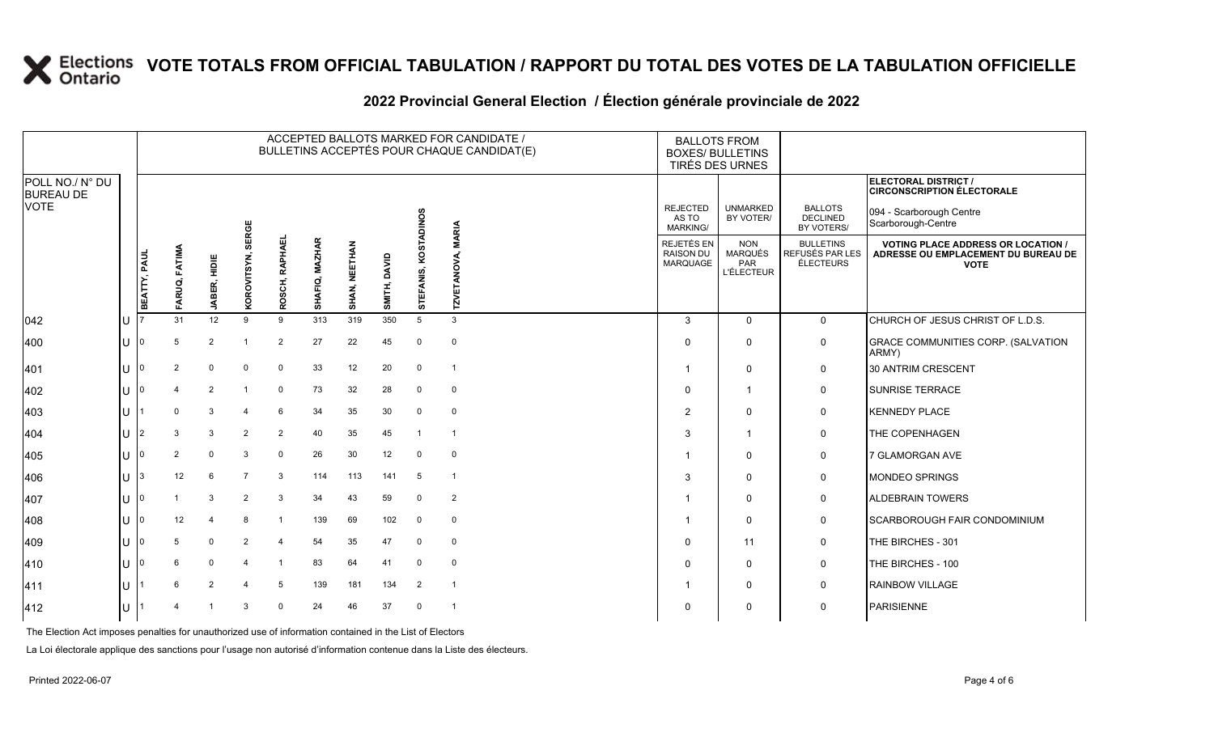## **2022 Provincial General Election / Élection générale provinciale de 2022**

|                                     |    |                |                |                |                |                |                |               |                 |                | ACCEPTED BALLOTS MARKED FOR CANDIDATE /<br>BULLETINS ACCEPTÉS POUR CHAQUE CANDIDAT(E) | <b>BALLOTS FROM</b><br><b>BOXES/ BULLETINS</b> | TIRÉS DES URNES                                          |                                                                |                                                                                                 |
|-------------------------------------|----|----------------|----------------|----------------|----------------|----------------|----------------|---------------|-----------------|----------------|---------------------------------------------------------------------------------------|------------------------------------------------|----------------------------------------------------------|----------------------------------------------------------------|-------------------------------------------------------------------------------------------------|
| POLL NO./ N° DU<br><b>BUREAU DE</b> |    |                |                |                |                |                |                |               |                 |                |                                                                                       |                                                |                                                          |                                                                | ELECTORAL DISTRICT /<br><b>CIRCONSCRIPTION ÉLECTORALE</b>                                       |
| <b>VOTE</b>                         |    |                |                |                | SERGE          |                |                |               |                 | <b>ADINOS</b>  |                                                                                       | <b>REJECTED</b><br>AS TO<br><b>MARKING/</b>    | <b>UNMARKED</b><br>BY VOTER/                             | <b>BALLOTS</b><br><b>DECLINED</b><br>BY VOTERS/                | 094 - Scarborough Centre<br>Scarborough-Centre                                                  |
|                                     |    | BEATTY, PAUL   | FARUQ, FATIMA  | JABER, HIDIE   | KOROVITSYN,    | ROSCH, RAPHAEL | SHAFIQ, MAZHAR | SHAN, NEETHAN | DAVID<br>SMITH, | STEFANIS, KOST | TZVETANOVA, MARIA                                                                     | REJETÉS EN<br><b>RAISON DU</b><br>MARQUAGE     | <b>NON</b><br><b>MARQUÉS</b><br>PAR<br><b>L'ÉLECTEUR</b> | <b>BULLETINS</b><br><b>REFUSÉS PAR LES</b><br><b>ÉLECTEURS</b> | <b>VOTING PLACE ADDRESS OR LOCATION /</b><br>ADRESSE OU EMPLACEMENT DU BUREAU DE<br><b>VOTE</b> |
| $ 042\rangle$                       | lU |                | 31             | 12             | 9              | 9              | 313            | 319           | 350             | 5              | 3                                                                                     | $\mathbf{3}$                                   | $\Omega$                                                 | $\mathbf{0}$                                                   | CHURCH OF JESUS CHRIST OF L.D.S.                                                                |
| 400                                 | lυ |                | 5              | $\overline{2}$ | $\overline{1}$ | $\overline{2}$ | 27             | 22            | 45              | 0              | $\mathbf 0$                                                                           | $\Omega$                                       | $\mathbf 0$                                              | $\mathsf{O}$                                                   | GRACE COMMUNITIES CORP. (SALVATION<br>ARMY)                                                     |
| 401                                 | ΙU |                | $\overline{2}$ | $\mathbf 0$    | $\mathbf 0$    | $\mathsf{O}$   | 33             | 12            | 20              | 0              | $\overline{1}$                                                                        |                                                | $\mathbf 0$                                              | $\mathbf 0$                                                    | 30 ANTRIM CRESCENT                                                                              |
| 402                                 | ΙU |                |                | $\overline{2}$ |                | $\mathsf{O}$   | 73             | 32            | 28              | $\mathbf 0$    | $\mathsf 0$                                                                           | $\Omega$                                       | $\overline{1}$                                           | 0                                                              | <b>SUNRISE TERRACE</b>                                                                          |
| 403                                 | lu |                | $\mathbf 0$    | 3              | 4              | 6              | 34             | 35            | 30              | $\mathbf 0$    | $\mathbf 0$                                                                           | $\overline{2}$                                 | 0                                                        | $\mathsf{O}$                                                   | <b>KENNEDY PLACE</b>                                                                            |
| 404                                 | ΙU | $\overline{2}$ | 3              | 3              | $\overline{2}$ | $\overline{2}$ | 40             | 35            | 45              | $\overline{1}$ | $\overline{1}$                                                                        | 3                                              | $\overline{1}$                                           | $\mathbf 0$                                                    | THE COPENHAGEN                                                                                  |
| 405                                 | ΙU |                | 2              | $\mathbf 0$    | 3              | $\mathsf{O}$   | 26             | 30            | 12              | $\Omega$       | $\mathbf 0$                                                                           |                                                | $\mathbf 0$                                              | 0                                                              | 7 GLAMORGAN AVE                                                                                 |
| 406                                 | ΙU | 3              | 12             | 6              | $\overline{7}$ | 3              | 114            | 113           | 141             | 5              | $\overline{1}$                                                                        | 3                                              | $\mathbf 0$                                              | $\mathbf 0$                                                    | <b>MONDEO SPRINGS</b>                                                                           |
| 407                                 | lu |                |                | 3              | $\overline{2}$ | 3              | 34             | 43            | 59              | 0              | $\overline{2}$                                                                        |                                                | $\mathbf 0$                                              | 0                                                              | <b>ALDEBRAIN TOWERS</b>                                                                         |
| 408                                 | lu |                | 12             |                | 8              | $\overline{1}$ | 139            | 69            | 102             | $\mathbf 0$    | $\mathbf 0$                                                                           |                                                | $\mathbf 0$                                              | $\mathbf 0$                                                    | SCARBOROUGH FAIR CONDOMINIUM                                                                    |
| 409                                 | lU |                | 5              | $\mathbf 0$    | $\overline{2}$ | $\overline{4}$ | 54             | 35            | 47              | $\mathbf 0$    | $\mathsf 0$                                                                           | $\mathbf 0$                                    | 11                                                       | 0                                                              | THE BIRCHES - 301                                                                               |
| 410                                 | ΙU |                | 6              | $\mathbf 0$    |                |                | 83             | 64            | 41              | $\mathbf 0$    | $\mathbf 0$                                                                           | $\Omega$                                       | $\mathsf{O}$                                             | $\mathbf 0$                                                    | THE BIRCHES - 100                                                                               |
| 411                                 | ΙU |                |                | $\overline{2}$ |                | 5              | 139            | 181           | 134             | $\overline{2}$ | $\overline{1}$                                                                        |                                                | $\mathbf 0$                                              | $\mathbf 0$                                                    | <b>RAINBOW VILLAGE</b>                                                                          |
| 412                                 | lu |                |                |                | 3              | $\Omega$       | 24             | 46            | 37              | $\mathbf 0$    | -1                                                                                    | 0                                              | 0                                                        | 0                                                              | <b>PARISIENNE</b>                                                                               |

The Election Act imposes penalties for unauthorized use of information contained in the List of Electors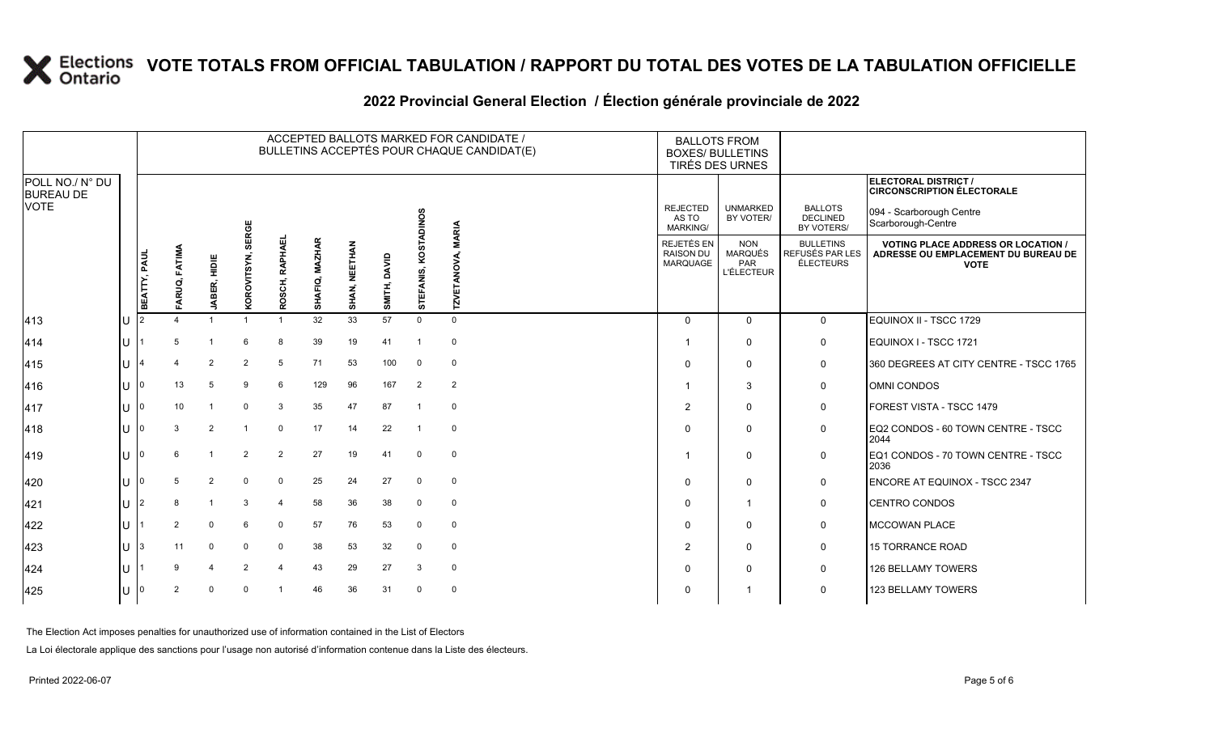## **2022 Provincial General Election / Élection générale provinciale de 2022**

|                                                    |    |              |                |                |                |                |                |               |                 |                | ACCEPTED BALLOTS MARKED FOR CANDIDATE /<br>BULLETINS ACCEPTÉS POUR CHAQUE CANDIDAT(E) | <b>BALLOTS FROM</b><br><b>BOXES/ BULLETINS</b> | TIRÉS DES URNES                                          |                                                         |                                                                                                 |
|----------------------------------------------------|----|--------------|----------------|----------------|----------------|----------------|----------------|---------------|-----------------|----------------|---------------------------------------------------------------------------------------|------------------------------------------------|----------------------------------------------------------|---------------------------------------------------------|-------------------------------------------------------------------------------------------------|
| POLL NO./ N° DU<br><b>BUREAU DE</b><br><b>VOTE</b> |    |              |                |                |                |                |                |               |                 |                |                                                                                       |                                                |                                                          |                                                         | <b>ELECTORAL DISTRICT /</b><br><b>CIRCONSCRIPTION ÉLECTORALE</b>                                |
|                                                    |    |              |                |                | SERGE          |                |                |               |                 | <b>ADINOS</b>  | <b>MARIA</b>                                                                          | <b>REJECTED</b><br>AS TO<br><b>MARKING/</b>    | <b>UNMARKED</b><br>BY VOTER/                             | <b>BALLOTS</b><br><b>DECLINED</b><br>BY VOTERS/         | 094 - Scarborough Centre<br>Scarborough-Centre                                                  |
|                                                    |    | BEATTY, PAUL | FARUQ, FATIMA  | JABER, HIDIE   | KOROVITSYN,    | ROSCH, RAPHAEI | SHAFIQ, MAZHAR | SHAN, NEETHAN | DAVID<br>SMITH, | STEFANIS, KOST | ANOVA,<br>MZ                                                                          | REJETÉS EN<br><b>RAISON DU</b><br>MARQUAGE     | <b>NON</b><br><b>MARQUÉS</b><br>PAR<br><b>L'ÉLECTEUR</b> | <b>BULLETINS</b><br>REFUSÉS PAR LES<br><b>ÉLECTEURS</b> | <b>VOTING PLACE ADDRESS OR LOCATION /</b><br>ADRESSE OU EMPLACEMENT DU BUREAU DE<br><b>VOTE</b> |
| 413                                                | Iυ |              |                |                |                |                | 32             | 33            | 57              | $\mathbf 0$    | $\mathbf 0$                                                                           | $\Omega$                                       | $\mathbf 0$                                              | $\mathbf 0$                                             | EQUINOX II - TSCC 1729                                                                          |
| 414                                                | lu |              | 5              |                |                | 8              | 39             | 19            | 41              | -1             | $\mathbf 0$                                                                           |                                                | $\mathbf 0$                                              | $\mathbf 0$                                             | EQUINOX I - TSCC 1721                                                                           |
| 415                                                | lu |              |                | $\overline{2}$ | 2              | 5              | 71             | 53            | 100             | 0              | $\mathbf 0$                                                                           | $\Omega$                                       | $\mathbf 0$                                              | $\mathbf 0$                                             | 360 DEGREES AT CITY CENTRE - TSCC 1765                                                          |
| 416                                                | lu |              | 13             |                | 9              | 6              | 129            | 96            | 167             | $\overline{2}$ | $\overline{2}$                                                                        |                                                | 3                                                        | 0                                                       | OMNI CONDOS                                                                                     |
| 417                                                | IП |              | 10             |                | $\Omega$       | 3              | 35             | 47            | 87              |                | 0                                                                                     | 2                                              | $\mathbf 0$                                              | $\mathbf 0$                                             | FOREST VISTA - TSCC 1479                                                                        |
| 418                                                | lu |              | 3              | 2              |                | $\Omega$       | 17             | 14            | 22              | -1             | $\mathbf 0$                                                                           |                                                | 0                                                        | 0                                                       | EQ2 CONDOS - 60 TOWN CENTRE - TSCC<br>2044                                                      |
| $ 419\rangle$                                      | lu |              | 6              |                | $\overline{2}$ | $\overline{2}$ | 27             | 19            | 41              | $\Omega$       | $\mathbf 0$                                                                           |                                                | $\mathbf 0$                                              | 0                                                       | EQ1 CONDOS - 70 TOWN CENTRE - TSCC<br>2036                                                      |
| 420                                                | lu |              | 5.             | 2              | $\Omega$       | $\Omega$       | 25             | 24            | 27              | $\Omega$       | $\mathbf 0$                                                                           | $\Omega$                                       | $\mathbf 0$                                              | $\mathbf 0$                                             | <b>ENCORE AT EQUINOX - TSCC 2347</b>                                                            |
| 421                                                | lu | 2            | 8              |                | 3              | $\overline{4}$ | 58             | 36            | 38              | 0              | 0                                                                                     | $\Omega$                                       | $\overline{\mathbf{1}}$                                  | $\mathbf 0$                                             | <b>CENTRO CONDOS</b>                                                                            |
| 422                                                | lu |              | 2              | $\Omega$       | 6              | $\Omega$       | 57             | 76            | 53              | $\Omega$       | $\mathbf 0$                                                                           | $\Omega$                                       | $\mathbf 0$                                              | 0                                                       | <b>MCCOWAN PLACE</b>                                                                            |
| 423                                                | lu |              | 11             | $\Omega$       | $\Omega$       | $\mathbf 0$    | 38             | 53            | 32              | $\mathbf 0$    | $\mathbf 0$                                                                           | 2                                              | $\mathbf 0$                                              | $\mathbf 0$                                             | 15 TORRANCE ROAD                                                                                |
| 424                                                | lu |              | 9              |                | 2              | 4              | 43             | 29            | 27              | 3              | $\mathbf 0$                                                                           |                                                | 0                                                        | $\mathbf 0$                                             | 126 BELLAMY TOWERS                                                                              |
| 425                                                | lu |              | $\overline{2}$ | U              | $\Omega$       |                | 46             | 36            | 31              | $\Omega$       | $\mathbf 0$                                                                           |                                                |                                                          | $\mathbf 0$                                             | 123 BELLAMY TOWERS                                                                              |

The Election Act imposes penalties for unauthorized use of information contained in the List of Electors